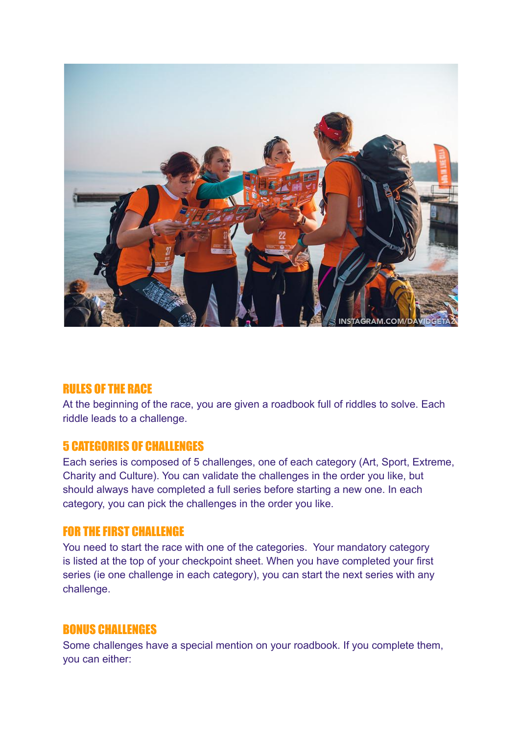

### RULES OF THE RACE

At the beginning of the race, you are given a roadbook full of riddles to solve. Each riddle leads to a challenge.

### 5 CATEGORIES OF CHALLENGES

Each series is composed of 5 challenges, one of each category (Art, Sport, Extreme, Charity and Culture). You can validate the challenges in the order you like, but should always have completed a full series before starting a new one. In each category, you can pick the challenges in the order you like.

# FOR THE FIRST CHALLENGE

You need to start the race with one of the categories. Your mandatory category is listed at the top of your checkpoint sheet. When you have completed your first series (ie one challenge in each category), you can start the next series with any challenge.

### BONUS CHALLENGES

Some challenges have a special mention on your roadbook. If you complete them, you can either: